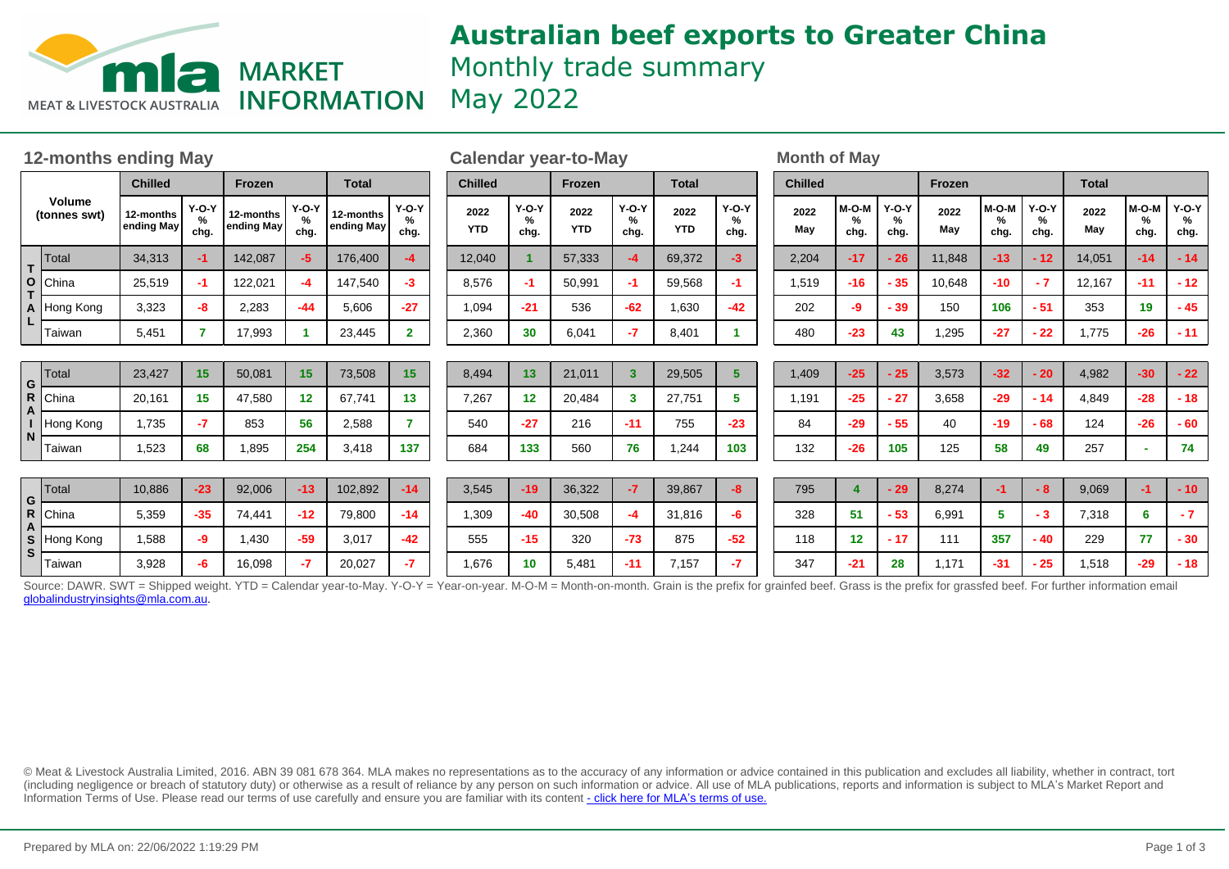

# **Australian beef exports to Greater China** Monthly trade summary

| <b>12-months ending May</b>   |                          |                         |                      |                         |                      |                         | <b>Calendar year-to-May</b> |                    |                         |                    |                         |                    |                      | <b>Month of May</b> |                |                      |                           |             |                    |                                     |              |                    |                      |
|-------------------------------|--------------------------|-------------------------|----------------------|-------------------------|----------------------|-------------------------|-----------------------------|--------------------|-------------------------|--------------------|-------------------------|--------------------|----------------------|---------------------|----------------|----------------------|---------------------------|-------------|--------------------|-------------------------------------|--------------|--------------------|----------------------|
| <b>Volume</b><br>(tonnes swt) |                          | <b>Chilled</b>          |                      | Frozen                  |                      | <b>Total</b>            |                             | <b>Chilled</b>     |                         | <b>Frozen</b>      |                         | <b>Total</b>       |                      |                     | <b>Chilled</b> |                      |                           | Frozen      |                    |                                     | <b>Total</b> |                    |                      |
|                               |                          | 12-months<br>ending May | $Y-O-Y$<br>%<br>chg. | 12-months<br>ending May | $Y-O-Y$<br>%<br>chg. | 12-months<br>ending May | $Y-O-Y$<br>℅<br>chg.        | 2022<br><b>YTD</b> | $Y-O-Y$<br>$\%$<br>chg. | 2022<br><b>YTD</b> | $Y-O-Y$<br>%<br>chg.    | 2022<br><b>YTD</b> | $Y-O-Y$<br>%<br>chg. |                     | 2022<br>May    | $M-O-M$<br>%<br>chg. | <b>Y-O-Y</b><br>%<br>chg. | 2022<br>May | M-O-M<br>%<br>chg. | $Y-O-Y$<br>%<br>chg.                | 2022<br>May  | M-O-M<br>%<br>chg. | $Y-O-Y$<br>%<br>chg. |
| T.<br>O<br>A                  | Total                    | 34,313                  | $-1$                 | 142,087                 | -5.                  | 176,400                 | -4                          | 12,040             |                         | 57,333             | $-4$                    | 69,372             | -3                   |                     | 2,204          | $-17$                | $-26$                     | 11,848      | $-13$              | $-12$                               | 14,051       | $-14$              | $-14$                |
|                               | China                    | 25,519                  | -1                   | 122,021                 | -4                   | 147,540                 | -3                          | 8,576              | -1                      | 50,991             | $-1$                    | 59,568             | -1.                  |                     | 1,519          | $-16$                | $-35$                     | 10,648      | $-10$              | $-7$                                | 12,167       | $-11$              | $-12$                |
|                               | Hong Kong                | 3.323                   | -8                   | 2,283                   | $-44$                | 5,606                   | $-27$                       | 1,094              | $-21$                   | 536                | $-62$                   | 1,630              | -42                  |                     | 202            | -9                   | - 39                      | 150         | 106                | $-51$                               | 353          | 19                 | $-45$                |
| L                             | Taiwan                   | 5,451                   | 7                    | 17,993                  |                      | 23,445                  | $\mathbf{2}$                | 2,360              | 30                      | 6,041              | $-7$                    | 8,401              |                      |                     | 480            | $-23$                | 43                        | 1,295       | $-27$              | $-22$                               | 1,775        | $-26$              | $-11$                |
|                               |                          |                         |                      |                         |                      |                         |                             |                    |                         |                    |                         |                    |                      |                     |                |                      |                           |             |                    |                                     |              |                    |                      |
| G<br>R                        | <b>Total</b>             | 23,427                  | 15                   | 50,081                  | 15                   | 73,508                  | 15                          | 8,494              | 13                      | 21,011             | $\overline{\mathbf{3}}$ | 29,505             | 5                    |                     | 1,409          | $-25$                | $-25$                     | 3,573       | $-32$              | $-20$                               | 4,982        | $-30$              | $-22$                |
|                               | China                    | 20,161                  | 15                   | 47,580                  | 12                   | 67,741                  | 13                          | 7,267              | $12 \overline{ }$       | 20,484             | 3                       | 27,751             | 5.                   |                     | 1,191          | $-25$                | $-27$                     | 3,658       | $-29$              | $-14$                               | 4,849        | $-28$              | $-18$                |
|                               | Hong Kong                | 1,735                   | $-7$                 | 853                     | 56                   | 2,588                   | $\overline{7}$              | 540                | $-27$                   | 216                | $-11$                   | 755                | $-23$                |                     | 84             | $-29$                | $-55$                     | 40          | $-19$              | $-68$                               | 124          | $-26$              | $-60$                |
| N                             | Taiwan                   | 1,523                   | 68                   | 1,895                   | 254                  | 3,418                   | 137                         | 684                | 133                     | 560                | 76                      | 1,244              | 103                  |                     | 132            | $-26$                | 105                       | 125         | 58                 | 49                                  | 257          |                    | 74                   |
|                               |                          |                         |                      |                         |                      |                         |                             |                    |                         |                    |                         |                    |                      |                     |                |                      |                           |             |                    |                                     |              |                    |                      |
| G<br>R<br>S<br>S              | Total                    | 10,886                  | $-23$                | 92,006                  | $-13$                | 102,892                 | $-14$                       | 3,545              | $-19$                   | 36,322             | $-7$                    | 39,867             | $-8$                 |                     | 795            | 4                    | $-29$                     | 8,274       | $-1$               | $-8$                                | 9,069        | -1                 | $-10$                |
|                               | China                    | 5,359                   | $-35$                | 74,441                  | $-12$                | 79,800                  | $-14$                       | 1,309              | $-40$                   | 30,508             | $-4$                    | 31,816             | -6                   |                     | 328            | 51                   | $-53$                     | 6,991       | 5                  | $-3$                                | 7,318        | 6                  | $-7$                 |
|                               | Hong Kong                | 1,588                   | -9                   | 1,430                   | $-59$                | 3,017                   | $-42$                       | 555                | $-15$                   | 320                | $-73$                   | 875                | $-52$                |                     | 118            | 12                   | $-17$                     | 111         | 357                | $-40$                               | 229          | 77                 | $-30$                |
|                               | Taiwan<br>O <sub>2</sub> | 3,928<br>C111T          | -6                   | 16,098                  | $-7$                 | 20,027                  | $-7$<br>$V \cap V$          | 1,676<br>$M = 1$   | 10 <sup>1</sup>         | 5,481              | $-11$                   | 7,157<br>O(1)      | $-7$                 |                     | 347            | $-21$<br>0.00000     | 28                        | 1,171       | $-31$              | $-25$<br>$\Gamma \sim \sim \Lambda$ | 1,518        | $-29$              | $-18$                |

Source: DAWR. SWT = Shipped weight. YTD = Calendar year-to-May. Y-O-Y = Year-on-year. M-O-M = Month-on-month. Grain is the prefix for grainfed beef. Grass is the prefix for grassfed beef. For further information email globalindustryinsights@mla.com.au.

© Meat & Livestock Australia Limited, 2016. ABN 39 081 678 364. MLA makes no representations as to the accuracy of any information or advice contained in this publication and excludes all liability, whether in contract, tort (including negligence or breach of statutory duty) or otherwise as a result of reliance by any person on such information or advice. All use of MLA publications, reports and information is subject to MLA¶s Market Report and Information Terms of Use. Please read our terms of use carefully and ensure you are familiar with its content [- click here for MLA](http://www.mla.com.au/files/edae0364-a185-4a6f-9dff-a42700d1463a/MLA-Market-Report-and-Information-Terms-of-use-Dec-2014.pdf)'[s terms of use.](http://www.mla.com.au/files/edae0364-a185-4a6f-9dff-a42700d1463a/MLA-Market-Report-and-Information-Terms-of-use-Dec-2014.pdf)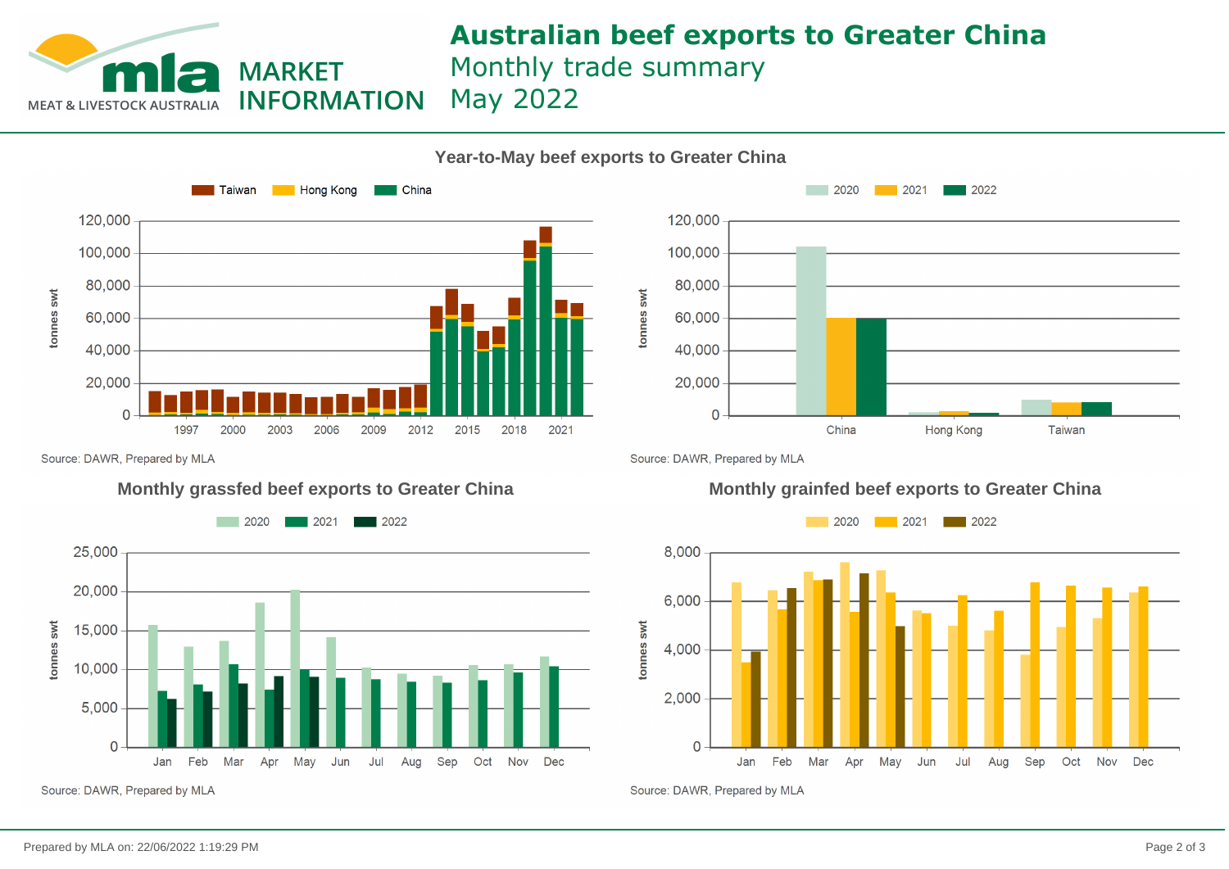

## **Australian beef exports to Greater China** Monthly trade summary May 2022

**Year-to-May beef exports to Greater China**

### $\blacksquare$  Taiwan **Hong Kong China** 120,000 100,000 80,000 tonnes swt 60,000 40,000 20,000  $\Omega$ 2003 2009 2012 2015 2018 2021 1997 2000 2006

 $2020$  $\blacksquare$  2021  $\blacksquare$  2022



Source: DAWR, Prepared by MLA



Source: DAWR, Prepared by MLA

### **Monthly grassfed beef exports to Greater China Monthly grainfed beef exports to Greater China**



Source: DAWR, Prepared by MLA